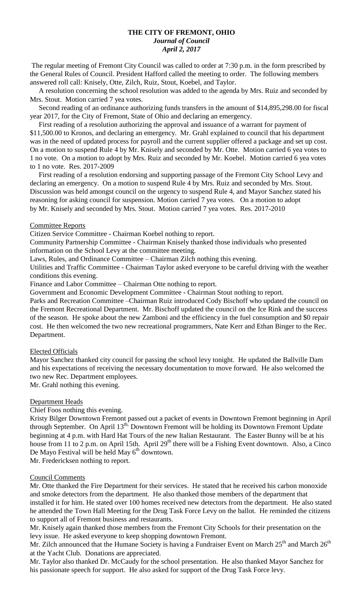#### **THE CITY OF FREMONT, OHIO** *Journal of Council April 2, 2017*

The regular meeting of Fremont City Council was called to order at 7:30 p.m. in the form prescribed by the General Rules of Council. President Hafford called the meeting to order. The following members answered roll call: Knisely, Otte, Zilch, Ruiz, Stout, Koebel, and Taylor.

 A resolution concerning the school resolution was added to the agenda by Mrs. Ruiz and seconded by Mrs. Stout. Motion carried 7 yea votes.

 Second reading of an ordinance authorizing funds transfers in the amount of \$14,895,298.00 for fiscal year 2017, for the City of Fremont, State of Ohio and declaring an emergency.

 First reading of a resolution authorizing the approval and issuance of a warrant for payment of \$11,500.00 to Kronos, and declaring an emergency. Mr. Grahl explained to council that his department was in the need of updated process for payroll and the current supplier offered a package and set up cost. On a motion to suspend Rule 4 by Mr. Knisely and seconded by Mr. Otte. Motion carried 6 yea votes to 1 no vote. On a motion to adopt by Mrs. Ruiz and seconded by Mr. Koebel. Motion carried 6 yea votes to 1 no vote. Res. 2017-2009

 First reading of a resolution endorsing and supporting passage of the Fremont City School Levy and declaring an emergency. On a motion to suspend Rule 4 by Mrs. Ruiz and seconded by Mrs. Stout. Discussion was held amongst council on the urgency to suspend Rule 4, and Mayor Sanchez stated his reasoning for asking council for suspension. Motion carried 7 yea votes. On a motion to adopt by Mr. Knisely and seconded by Mrs. Stout. Motion carried 7 yea votes. Res. 2017-2010

#### Committee Reports

Citizen Service Committee - Chairman Koebel nothing to report.

Community Partnership Committee - Chairman Knisely thanked those individuals who presented information on the School Levy at the committee meeting.

Laws, Rules, and Ordinance Committee – Chairman Zilch nothing this evening.

Utilities and Traffic Committee - Chairman Taylor asked everyone to be careful driving with the weather conditions this evening.

Finance and Labor Committee – Chairman Otte nothing to report.

Government and Economic Development Committee - Chairman Stout nothing to report.

Parks and Recreation Committee –Chairman Ruiz introduced Cody Bischoff who updated the council on the Fremont Recreational Department. Mr. Bischoff updated the council on the Ice Rink and the success of the season. He spoke about the new Zamboni and the efficiency in the fuel consumption and \$0 repair cost. He then welcomed the two new recreational programmers, Nate Kerr and Ethan Binger to the Rec. Department.

## Elected Officials

Mayor Sanchez thanked city council for passing the school levy tonight. He updated the Ballville Dam and his expectations of receiving the necessary documentation to move forward. He also welcomed the two new Rec. Department employees.

Mr. Grahl nothing this evening.

## Department Heads

Chief Foos nothing this evening.

Kristy Bilger Downtown Fremont passed out a packet of events in Downtown Fremont beginning in April through September. On April 13<sup>th,</sup> Downtown Fremont will be holding its Downtown Fremont Update beginning at 4 p.m. with Hard Hat Tours of the new Italian Restaurant. The Easter Bunny will be at his house from 11 to 2 p.m. on April 15th. April 29<sup>th</sup> there will be a Fishing Event downtown. Also, a Cinco De Mayo Festival will be held May  $6<sup>th</sup>$  downtown.

Mr. Fredericksen nothing to report.

## Council Comments

Mr. Otte thanked the Fire Department for their services. He stated that he received his carbon monoxide and smoke detectors from the department. He also thanked those members of the department that installed it for him. He stated over 100 homes received new detectors from the department. He also stated he attended the Town Hall Meeting for the Drug Task Force Levy on the ballot. He reminded the citizens to support all of Fremont business and restaurants.

Mr. Knisely again thanked those members from the Fremont City Schools for their presentation on the levy issue. He asked everyone to keep shopping downtown Fremont.

Mr. Zilch announced that the Humane Society is having a Fundraiser Event on March 25<sup>th</sup> and March 26<sup>th</sup> at the Yacht Club. Donations are appreciated.

Mr. Taylor also thanked Dr. McCaudy for the school presentation. He also thanked Mayor Sanchez for his passionate speech for support. He also asked for support of the Drug Task Force levy.